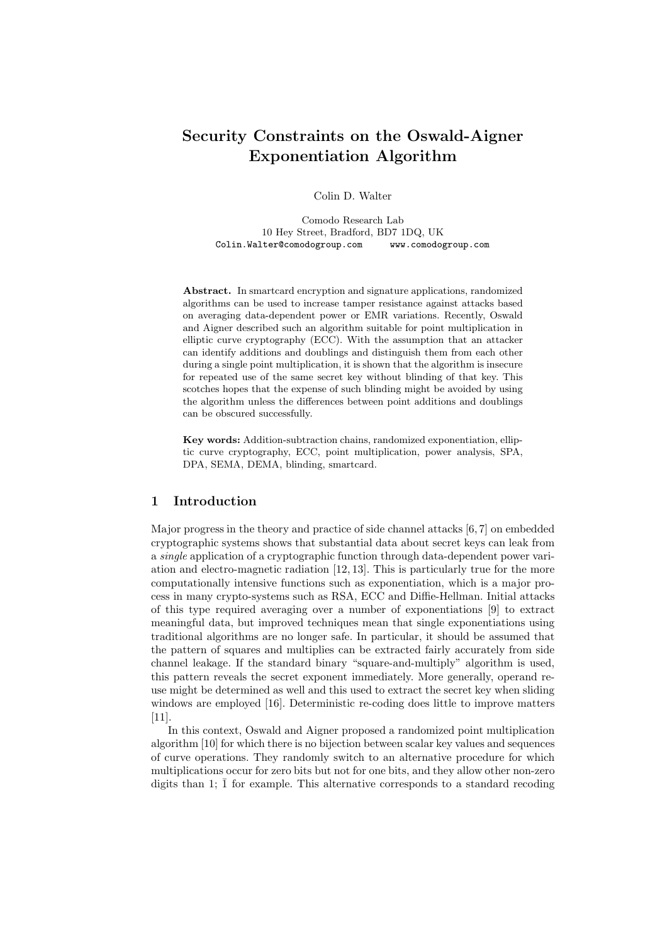# Security Constraints on the Oswald-Aigner Exponentiation Algorithm

Colin D. Walter

Comodo Research Lab 10 Hey Street, Bradford, BD7 1DQ, UK Colin.Walter@comodogroup.com www.comodogroup.com

Abstract. In smartcard encryption and signature applications, randomized algorithms can be used to increase tamper resistance against attacks based on averaging data-dependent power or EMR variations. Recently, Oswald and Aigner described such an algorithm suitable for point multiplication in elliptic curve cryptography (ECC). With the assumption that an attacker can identify additions and doublings and distinguish them from each other during a single point multiplication, it is shown that the algorithm is insecure for repeated use of the same secret key without blinding of that key. This scotches hopes that the expense of such blinding might be avoided by using the algorithm unless the differences between point additions and doublings can be obscured successfully.

Key words: Addition-subtraction chains, randomized exponentiation, elliptic curve cryptography, ECC, point multiplication, power analysis, SPA, DPA, SEMA, DEMA, blinding, smartcard.

## 1 Introduction

Major progress in the theory and practice of side channel attacks [6, 7] on embedded cryptographic systems shows that substantial data about secret keys can leak from a single application of a cryptographic function through data-dependent power variation and electro-magnetic radiation [12, 13]. This is particularly true for the more computationally intensive functions such as exponentiation, which is a major process in many crypto-systems such as RSA, ECC and Diffie-Hellman. Initial attacks of this type required averaging over a number of exponentiations [9] to extract meaningful data, but improved techniques mean that single exponentiations using traditional algorithms are no longer safe. In particular, it should be assumed that the pattern of squares and multiplies can be extracted fairly accurately from side channel leakage. If the standard binary "square-and-multiply" algorithm is used, this pattern reveals the secret exponent immediately. More generally, operand reuse might be determined as well and this used to extract the secret key when sliding windows are employed [16]. Deterministic re-coding does little to improve matters [11].

In this context, Oswald and Aigner proposed a randomized point multiplication algorithm [10] for which there is no bijection between scalar key values and sequences of curve operations. They randomly switch to an alternative procedure for which multiplications occur for zero bits but not for one bits, and they allow other non-zero digits than 1;  $\overline{1}$  for example. This alternative corresponds to a standard recoding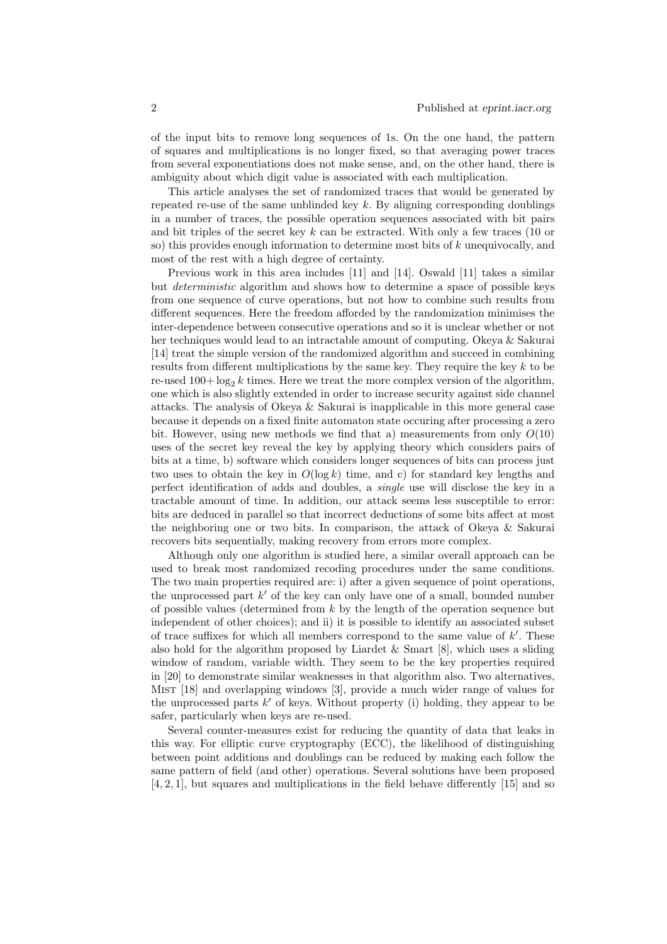of the input bits to remove long sequences of 1s. On the one hand, the pattern of squares and multiplications is no longer fixed, so that averaging power traces from several exponentiations does not make sense, and, on the other hand, there is ambiguity about which digit value is associated with each multiplication.

This article analyses the set of randomized traces that would be generated by repeated re-use of the same unblinded key  $k$ . By aligning corresponding doublings in a number of traces, the possible operation sequences associated with bit pairs and bit triples of the secret key  $k$  can be extracted. With only a few traces (10 or so) this provides enough information to determine most bits of k unequivocally, and most of the rest with a high degree of certainty.

Previous work in this area includes [11] and [14]. Oswald [11] takes a similar but deterministic algorithm and shows how to determine a space of possible keys from one sequence of curve operations, but not how to combine such results from different sequences. Here the freedom afforded by the randomization minimises the inter-dependence between consecutive operations and so it is unclear whether or not her techniques would lead to an intractable amount of computing. Okeya & Sakurai [14] treat the simple version of the randomized algorithm and succeed in combining results from different multiplications by the same key. They require the key  $k$  to be re-used  $100 + \log_2 k$  times. Here we treat the more complex version of the algorithm, one which is also slightly extended in order to increase security against side channel attacks. The analysis of Okeya & Sakurai is inapplicable in this more general case because it depends on a fixed finite automaton state occuring after processing a zero bit. However, using new methods we find that a) measurements from only  $O(10)$ uses of the secret key reveal the key by applying theory which considers pairs of bits at a time, b) software which considers longer sequences of bits can process just two uses to obtain the key in  $O(\log k)$  time, and c) for standard key lengths and perfect identification of adds and doubles, a single use will disclose the key in a tractable amount of time. In addition, our attack seems less susceptible to error: bits are deduced in parallel so that incorrect deductions of some bits affect at most the neighboring one or two bits. In comparison, the attack of Okeya & Sakurai recovers bits sequentially, making recovery from errors more complex.

Although only one algorithm is studied here, a similar overall approach can be used to break most randomized recoding procedures under the same conditions. The two main properties required are: i) after a given sequence of point operations, the unprocessed part k' of the key can only have one of a small, bounded number of possible values (determined from  $k$  by the length of the operation sequence but independent of other choices); and ii) it is possible to identify an associated subset of trace suffixes for which all members correspond to the same value of  $k'$ . These also hold for the algorithm proposed by Liardet  $\&$  Smart [8], which uses a sliding window of random, variable width. They seem to be the key properties required in [20] to demonstrate similar weaknesses in that algorithm also. Two alternatives, Mist [18] and overlapping windows [3], provide a much wider range of values for the unprocessed parts  $k'$  of keys. Without property (i) holding, they appear to be safer, particularly when keys are re-used.

Several counter-measures exist for reducing the quantity of data that leaks in this way. For elliptic curve cryptography (ECC), the likelihood of distinguishing between point additions and doublings can be reduced by making each follow the same pattern of field (and other) operations. Several solutions have been proposed [4, 2, 1], but squares and multiplications in the field behave differently [15] and so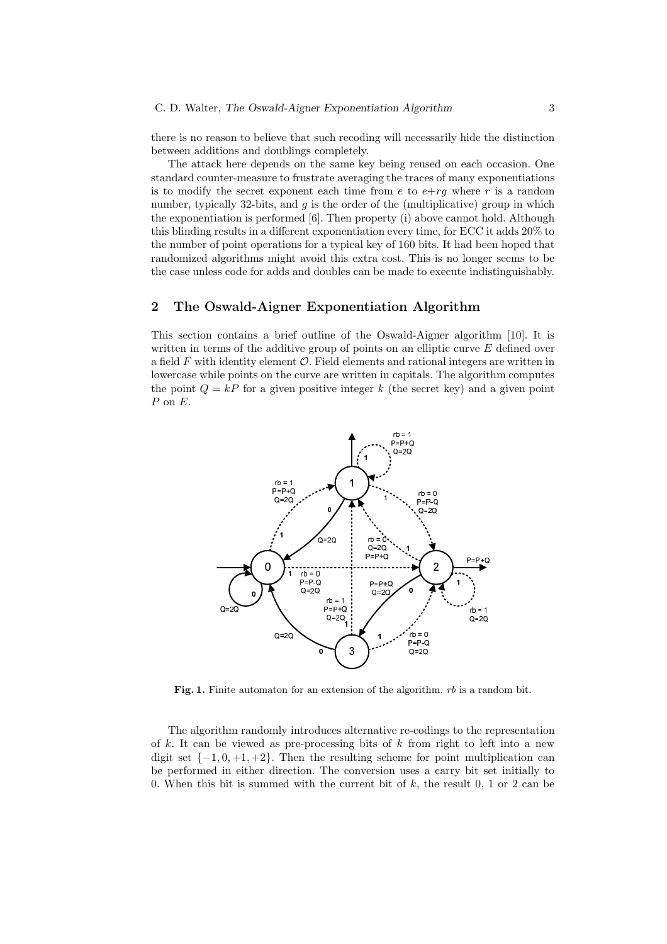there is no reason to believe that such recoding will necessarily hide the distinction between additions and doublings completely.

The attack here depends on the same key being reused on each occasion. One standard counter-measure to frustrate averaging the traces of many exponentiations is to modify the secret exponent each time from e to  $e+rq$  where r is a random number, typically 32-bits, and  $q$  is the order of the (multiplicative) group in which the exponentiation is performed [6]. Then property (i) above cannot hold. Although this blinding results in a different exponentiation every time, for ECC it adds 20% to the number of point operations for a typical key of 160 bits. It had been hoped that randomized algorithms might avoid this extra cost. This is no longer seems to be the case unless code for adds and doubles can be made to execute indistinguishably.

## 2 The Oswald-Aigner Exponentiation Algorithm

This section contains a brief outline of the Oswald-Aigner algorithm [10]. It is written in terms of the additive group of points on an elliptic curve  $E$  defined over a field  $F$  with identity element  $\mathcal O$ . Field elements and rational integers are written in lowercase while points on the curve are written in capitals. The algorithm computes the point  $Q = kP$  for a given positive integer k (the secret key) and a given point  $P$  on  $E$ .



Fig. 1. Finite automaton for an extension of the algorithm.  $rb$  is a random bit.

The algorithm randomly introduces alternative re-codings to the representation of k. It can be viewed as pre-processing bits of  $k$  from right to left into a new digit set  $\{-1, 0, +1, +2\}$ . Then the resulting scheme for point multiplication can be performed in either direction. The conversion uses a carry bit set initially to 0. When this bit is summed with the current bit of  $k$ , the result 0, 1 or 2 can be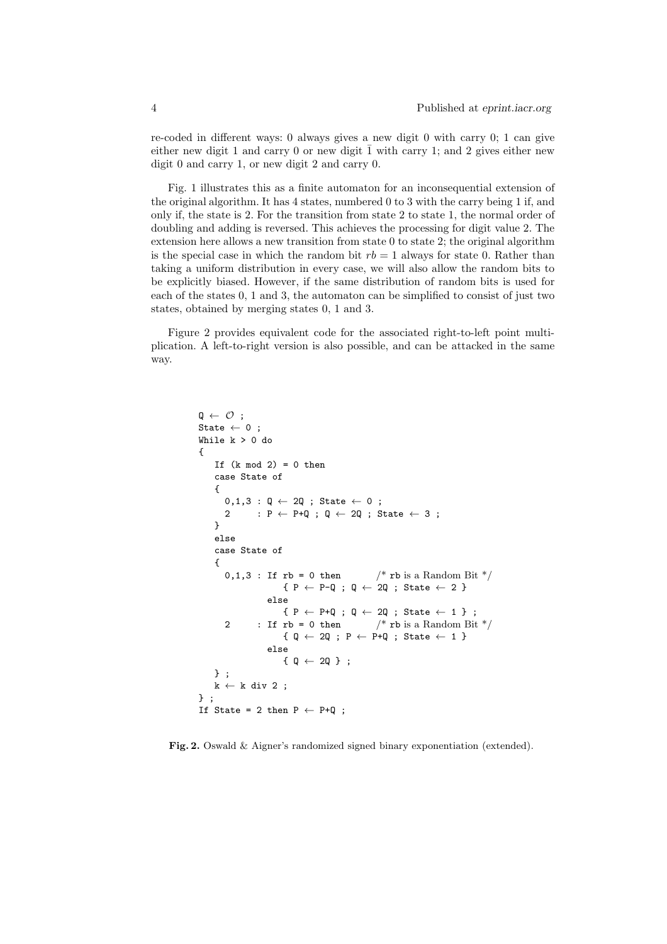re-coded in different ways: 0 always gives a new digit 0 with carry 0; 1 can give either new digit 1 and carry 0 or new digit  $\overline{1}$  with carry 1; and 2 gives either new digit 0 and carry 1, or new digit 2 and carry 0.

Fig. 1 illustrates this as a finite automaton for an inconsequential extension of the original algorithm. It has 4 states, numbered 0 to 3 with the carry being 1 if, and only if, the state is 2. For the transition from state 2 to state 1, the normal order of doubling and adding is reversed. This achieves the processing for digit value 2. The extension here allows a new transition from state  $0$  to state  $2$ ; the original algorithm is the special case in which the random bit  $rb = 1$  always for state 0. Rather than taking a uniform distribution in every case, we will also allow the random bits to be explicitly biased. However, if the same distribution of random bits is used for each of the states 0, 1 and 3, the automaton can be simplified to consist of just two states, obtained by merging states 0, 1 and 3.

Figure 2 provides equivalent code for the associated right-to-left point multiplication. A left-to-right version is also possible, and can be attacked in the same way.

```
\mathbf{Q} \leftarrow \mathcal{O};
State \leftarrow 0;
While k > 0 do
{
    If (k \mod 2) = 0 then
    case State of
     {
        0,1,3 : Q \leftarrow 2Q ; State \leftarrow 0 ;
        2 : P \leftarrow P+Q ; Q \leftarrow 2Q ; State \leftarrow 3;
    }
    else
    case State of
    {
        0,1,3: If rb = 0 then /* rb is a Random Bit */{P \leftarrow P-Q ; Q \leftarrow 2Q ; State \leftarrow 2}else
                          \begin{array}{l} \texttt{\{ P \leftarrow P+Q \texttt{ ; } Q \leftarrow 2Q \texttt{ ; State } \leftarrow 1 \texttt{ } \}} \end{array} ;2 : If \mathbf{rb} = 0 then \frac{\partial^*}{\partial s} is a Random Bit \frac{*}{\partial s}{ q \leftarrow 2Q ; p \leftarrow P+Q ; State \leftarrow 1 }else
                         {0 \leftarrow 20} ;
    } ;
    k \leftarrow k div 2;
} ;
If State = 2 then P \leftarrow P+Q;
```
Fig. 2. Oswald & Aigner's randomized signed binary exponentiation (extended).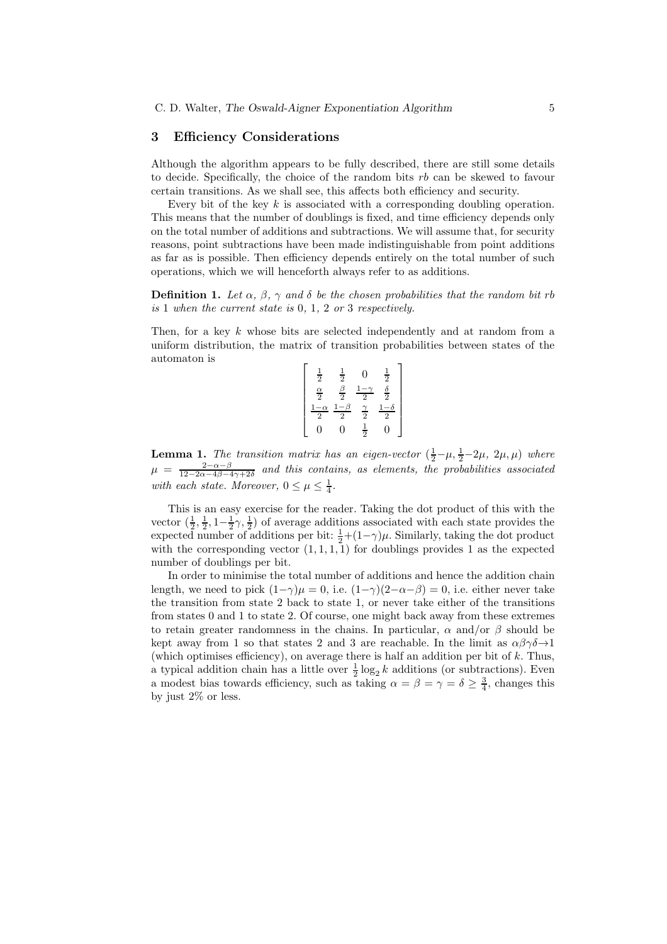## 3 Efficiency Considerations

Although the algorithm appears to be fully described, there are still some details to decide. Specifically, the choice of the random bits  $rb$  can be skewed to favour certain transitions. As we shall see, this affects both efficiency and security.

Every bit of the key  $k$  is associated with a corresponding doubling operation. This means that the number of doublings is fixed, and time efficiency depends only on the total number of additions and subtractions. We will assume that, for security reasons, point subtractions have been made indistinguishable from point additions as far as is possible. Then efficiency depends entirely on the total number of such operations, which we will henceforth always refer to as additions.

**Definition 1.** Let  $\alpha$ ,  $\beta$ ,  $\gamma$  and  $\delta$  be the chosen probabilities that the random bit rb is 1 when the current state is 0, 1, 2 or 3 respectively.

Then, for a key k whose bits are selected independently and at random from a uniform distribution, the matrix of transition probabilities between states of the automaton is

| $\frac{1}{2}$              | $\frac{1}{2}$     | 0                  | $\frac{1}{2}$      |
|----------------------------|-------------------|--------------------|--------------------|
| $\frac{\alpha}{2}$         | $\frac{\beta}{2}$ | $\overline{2}$     | $\frac{\delta}{2}$ |
| $\alpha$<br>$\overline{2}$ | $\overline{2}$    | $\frac{\gamma}{2}$ | $\overline{2}$     |
| J                          | 0                 | $\frac{1}{2}$      | 0                  |

**Lemma 1.** The transition matrix has an eigen-vector  $(\frac{1}{2} - \mu, \frac{1}{2} - 2\mu, 2\mu, \mu)$  where  $\mu = \frac{2-\alpha-\beta}{12-2\alpha-4\beta-4\gamma+2\delta}$  and this contains, as elements, the probabilities associated with each state. Moreover,  $0 \leq \mu \leq \frac{1}{4}$ .

This is an easy exercise for the reader. Taking the dot product of this with the vector  $(\frac{1}{2}, \frac{1}{2}, 1-\frac{1}{2}\gamma, \frac{1}{2})$  of average additions associated with each state provides the expected number of additions per bit:  $\frac{1}{2} + (1 - \gamma)\mu$ . Similarly, taking the dot product with the corresponding vector  $(1, 1, 1, 1)$  for doublings provides 1 as the expected number of doublings per bit.

In order to minimise the total number of additions and hence the addition chain length, we need to pick  $(1-\gamma)\mu = 0$ , i.e.  $(1-\gamma)(2-\alpha-\beta) = 0$ , i.e. either never take the transition from state 2 back to state 1, or never take either of the transitions from states 0 and 1 to state 2. Of course, one might back away from these extremes to retain greater randomness in the chains. In particular,  $\alpha$  and/or  $\beta$  should be kept away from 1 so that states 2 and 3 are reachable. In the limit as  $\alpha\beta\gamma\delta\rightarrow 1$ (which optimises efficiency), on average there is half an addition per bit of  $k$ . Thus, a typical addition chain has a little over  $\frac{1}{2} \log_2 k$  additions (or subtractions). Even a modest bias towards efficiency, such as taking  $\alpha = \beta = \gamma = \delta \ge \frac{3}{4}$ , changes this by just 2% or less.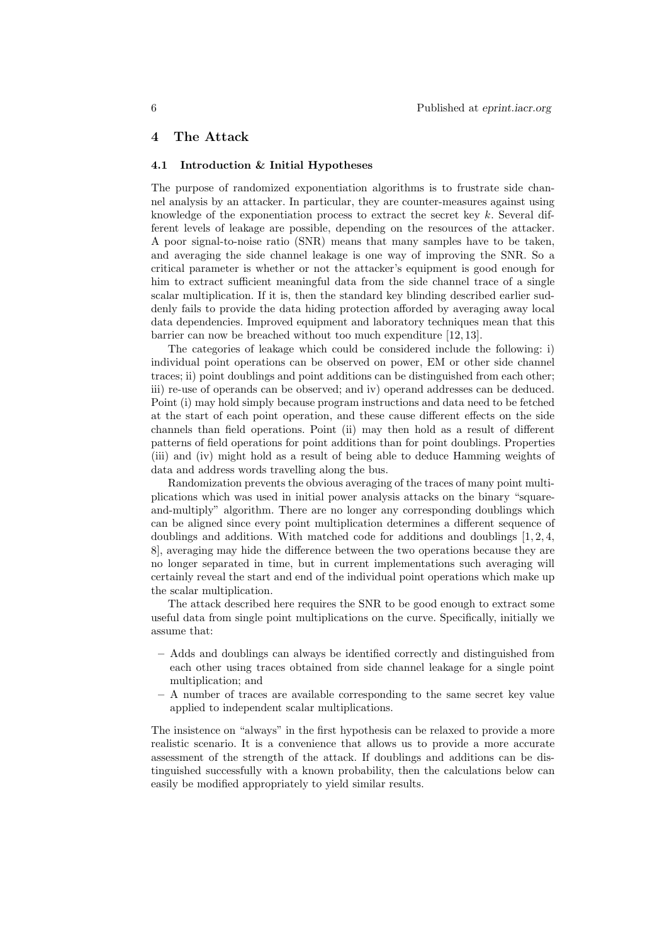## 4 The Attack

#### 4.1 Introduction & Initial Hypotheses

The purpose of randomized exponentiation algorithms is to frustrate side channel analysis by an attacker. In particular, they are counter-measures against using knowledge of the exponentiation process to extract the secret key  $k$ . Several different levels of leakage are possible, depending on the resources of the attacker. A poor signal-to-noise ratio (SNR) means that many samples have to be taken, and averaging the side channel leakage is one way of improving the SNR. So a critical parameter is whether or not the attacker's equipment is good enough for him to extract sufficient meaningful data from the side channel trace of a single scalar multiplication. If it is, then the standard key blinding described earlier suddenly fails to provide the data hiding protection afforded by averaging away local data dependencies. Improved equipment and laboratory techniques mean that this barrier can now be breached without too much expenditure [12, 13].

The categories of leakage which could be considered include the following: i) individual point operations can be observed on power, EM or other side channel traces; ii) point doublings and point additions can be distinguished from each other; iii) re-use of operands can be observed; and iv) operand addresses can be deduced. Point (i) may hold simply because program instructions and data need to be fetched at the start of each point operation, and these cause different effects on the side channels than field operations. Point (ii) may then hold as a result of different patterns of field operations for point additions than for point doublings. Properties (iii) and (iv) might hold as a result of being able to deduce Hamming weights of data and address words travelling along the bus.

Randomization prevents the obvious averaging of the traces of many point multiplications which was used in initial power analysis attacks on the binary "squareand-multiply" algorithm. There are no longer any corresponding doublings which can be aligned since every point multiplication determines a different sequence of doublings and additions. With matched code for additions and doublings  $[1, 2, 4, 4]$ 8], averaging may hide the difference between the two operations because they are no longer separated in time, but in current implementations such averaging will certainly reveal the start and end of the individual point operations which make up the scalar multiplication.

The attack described here requires the SNR to be good enough to extract some useful data from single point multiplications on the curve. Specifically, initially we assume that:

- Adds and doublings can always be identified correctly and distinguished from each other using traces obtained from side channel leakage for a single point multiplication; and
- A number of traces are available corresponding to the same secret key value applied to independent scalar multiplications.

The insistence on "always" in the first hypothesis can be relaxed to provide a more realistic scenario. It is a convenience that allows us to provide a more accurate assessment of the strength of the attack. If doublings and additions can be distinguished successfully with a known probability, then the calculations below can easily be modified appropriately to yield similar results.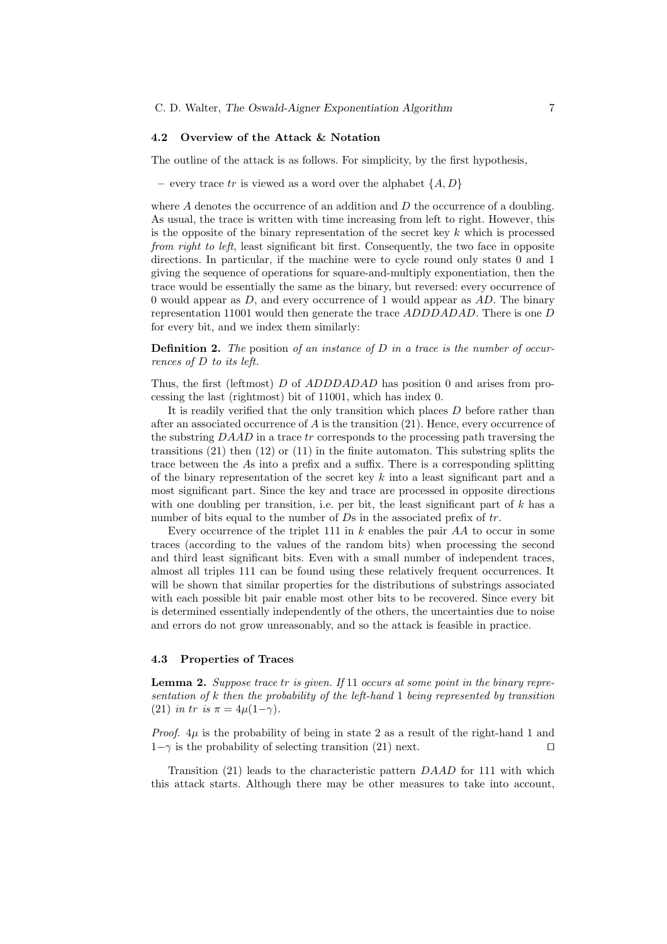#### 4.2 Overview of the Attack & Notation

The outline of the attack is as follows. For simplicity, by the first hypothesis,

– every trace tr is viewed as a word over the alphabet  $\{A, D\}$ 

where  $A$  denotes the occurrence of an addition and  $D$  the occurrence of a doubling. As usual, the trace is written with time increasing from left to right. However, this is the opposite of the binary representation of the secret key  $k$  which is processed from right to left, least significant bit first. Consequently, the two face in opposite directions. In particular, if the machine were to cycle round only states 0 and 1 giving the sequence of operations for square-and-multiply exponentiation, then the trace would be essentially the same as the binary, but reversed: every occurrence of 0 would appear as  $D$ , and every occurrence of 1 would appear as  $AD$ . The binary representation 11001 would then generate the trace ADDDADAD. There is one D for every bit, and we index them similarly:

**Definition 2.** The position of an instance of D in a trace is the number of occurrences of D to its left.

Thus, the first (leftmost) D of ADDDADAD has position 0 and arises from processing the last (rightmost) bit of 11001, which has index 0.

It is readily verified that the only transition which places  $D$  before rather than after an associated occurrence of  $A$  is the transition  $(21)$ . Hence, every occurrence of the substring  $D A A D$  in a trace  $tr$  corresponds to the processing path traversing the transitions  $(21)$  then  $(12)$  or  $(11)$  in the finite automaton. This substring splits the trace between the As into a prefix and a suffix. There is a corresponding splitting of the binary representation of the secret key  $k$  into a least significant part and a most significant part. Since the key and trace are processed in opposite directions with one doubling per transition, i.e. per bit, the least significant part of  $k$  has a number of bits equal to the number of  $Ds$  in the associated prefix of  $tr$ .

Every occurrence of the triplet 111 in  $k$  enables the pair  $AA$  to occur in some traces (according to the values of the random bits) when processing the second and third least significant bits. Even with a small number of independent traces, almost all triples 111 can be found using these relatively frequent occurrences. It will be shown that similar properties for the distributions of substrings associated with each possible bit pair enable most other bits to be recovered. Since every bit is determined essentially independently of the others, the uncertainties due to noise and errors do not grow unreasonably, and so the attack is feasible in practice.

#### 4.3 Properties of Traces

**Lemma 2.** Suppose trace tr is given. If 11 occurs at some point in the binary representation of k then the probability of the left-hand 1 being represented by transition (21) in tr is  $\pi = 4\mu(1-\gamma)$ .

*Proof.*  $4\mu$  is the probability of being in state 2 as a result of the right-hand 1 and  $1-\gamma$  is the probability of selecting transition (21) next. □

Transition (21) leads to the characteristic pattern DAAD for 111 with which this attack starts. Although there may be other measures to take into account,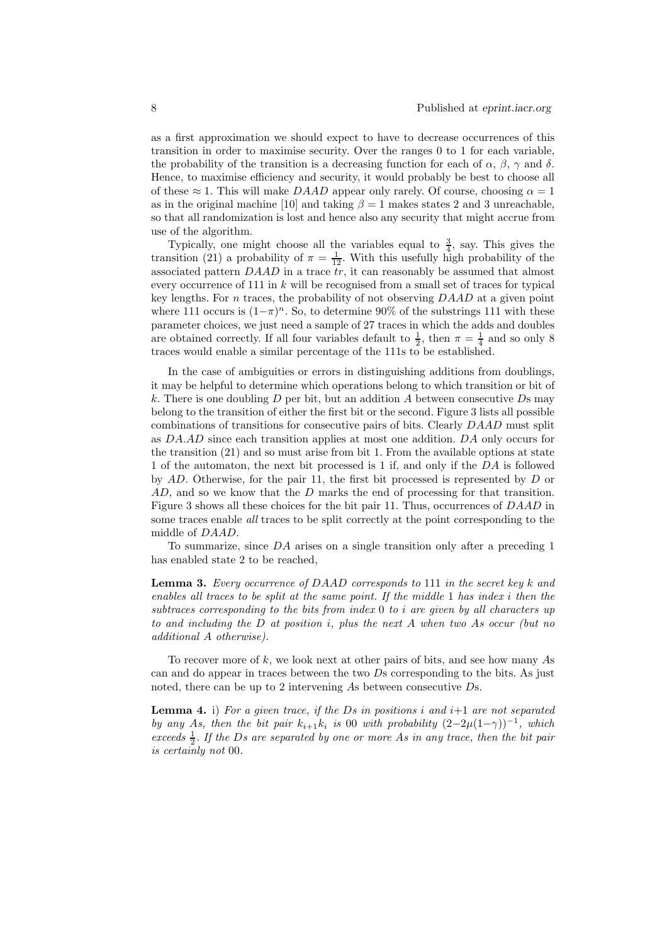as a first approximation we should expect to have to decrease occurrences of this transition in order to maximise security. Over the ranges 0 to 1 for each variable, the probability of the transition is a decreasing function for each of  $\alpha$ ,  $\beta$ ,  $\gamma$  and  $\delta$ . Hence, to maximise efficiency and security, it would probably be best to choose all of these  $\approx$  1. This will make DAAD appear only rarely. Of course, choosing  $\alpha = 1$ as in the original machine [10] and taking  $\beta = 1$  makes states 2 and 3 unreachable. so that all randomization is lost and hence also any security that might accrue from use of the algorithm.

Typically, one might choose all the variables equal to  $\frac{3}{4}$ , say. This gives the transition (21) a probability of  $\pi = \frac{1}{12}$ . With this usefully high probability of the associated pattern  $D A A D$  in a trace  $\overline{tr}$ , it can reasonably be assumed that almost every occurrence of 111 in  $k$  will be recognised from a small set of traces for typical key lengths. For n traces, the probability of not observing  $D A A D$  at a given point where 111 occurs is  $(1-\pi)^n$ . So, to determine 90% of the substrings 111 with these parameter choices, we just need a sample of 27 traces in which the adds and doubles are obtained correctly. If all four variables default to  $\frac{1}{2}$ , then  $\pi = \frac{1}{4}$  and so only 8 traces would enable a similar percentage of the 111s to be established.

In the case of ambiguities or errors in distinguishing additions from doublings, it may be helpful to determine which operations belong to which transition or bit of k. There is one doubling  $D$  per bit, but an addition  $A$  between consecutive  $D$ s may belong to the transition of either the first bit or the second. Figure 3 lists all possible combinations of transitions for consecutive pairs of bits. Clearly DAAD must split as DA.AD since each transition applies at most one addition. DA only occurs for the transition (21) and so must arise from bit 1. From the available options at state 1 of the automaton, the next bit processed is 1 if, and only if the DA is followed by AD. Otherwise, for the pair 11, the first bit processed is represented by D or AD, and so we know that the D marks the end of processing for that transition. Figure 3 shows all these choices for the bit pair 11. Thus, occurrences of DAAD in some traces enable *all* traces to be split correctly at the point corresponding to the middle of DAAD.

To summarize, since DA arises on a single transition only after a preceding 1 has enabled state 2 to be reached,

**Lemma 3.** Every occurrence of DAAD corresponds to 111 in the secret key k and enables all traces to be split at the same point. If the middle 1 has index i then the subtraces corresponding to the bits from index 0 to i are given by all characters up to and including the  $D$  at position i, plus the next  $A$  when two  $As$  occur (but no additional A otherwise).

To recover more of k, we look next at other pairs of bits, and see how many As can and do appear in traces between the two Ds corresponding to the bits. As just noted, there can be up to 2 intervening As between consecutive Ds.

**Lemma 4.** i) For a given trace, if the Ds in positions i and  $i+1$  are not separated by any As, then the bit pair  $k_{i+1}k_i$  is 00 with probability  $(2-2\mu(1-\gamma))^{-1}$ , which exceeds  $\frac{1}{2}$ . If the Ds are separated by one or more As in any trace, then the bit pair is certainly not 00.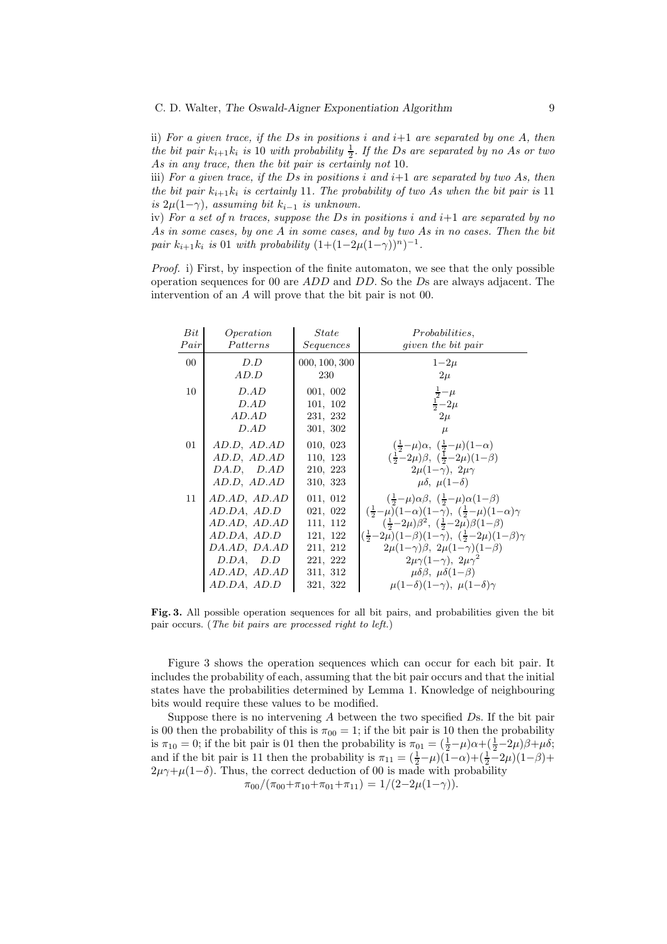ii) For a given trace, if the Ds in positions i and  $i+1$  are separated by one A, then the bit pair  $k_{i+1}k_i$  is 10 with probability  $\frac{1}{2}$ . If the Ds are separated by no As or two As in any trace, then the bit pair is certainly not 10.

iii) For a given trace, if the Ds in positions i and  $i+1$  are separated by two As, then the bit pair  $k_{i+1}k_i$  is certainly 11. The probability of two As when the bit pair is 11 is  $2\mu(1-\gamma)$ , assuming bit  $k_{i-1}$  is unknown.

iv) For a set of n traces, suppose the Ds in positions i and  $i+1$  are separated by no As in some cases, by one A in some cases, and by two As in no cases. Then the bit pair  $k_{i+1}k_i$  is 01 with probability  $(1+(1-2\mu(1-\gamma))^n)^{-1}$ .

Proof. i) First, by inspection of the finite automaton, we see that the only possible operation sequences for 00 are ADD and DD. So the Ds are always adjacent. The intervention of an A will prove that the bit pair is not 00.

| Bit    | Operation    | <i>State</i>  | <i>Probabilities,</i>                                                                              |
|--------|--------------|---------------|----------------------------------------------------------------------------------------------------|
| Pair   | Patterns     | Sequences     | <i>given the bit pair</i>                                                                          |
| $00\,$ | D.D          | 000, 100, 300 | $1-2\mu$                                                                                           |
|        | AD.D         | 230           | $2\mu$                                                                                             |
| 10     | D.AD         | 001, 002      | $rac{\frac{1}{2} - \mu}{\frac{1}{2} - 2\mu}$                                                       |
|        | D.AD         | 101, 102      |                                                                                                    |
|        | AD.AD        | 231, 232      | $2\mu$                                                                                             |
|        | D.AD         | 301, 302      | $\mu$                                                                                              |
| 01     | AD.D, AD.AD  | 010, 023      | $(\frac{1}{2}-\mu)\alpha$ , $(\frac{1}{2}-\mu)(1-\alpha)$                                          |
|        | AD.D, AD.AD  | 110, 123      | $(\frac{1}{2}-2\mu)\beta$ , $(\frac{1}{2}-2\mu)(1-\beta)$                                          |
|        | DA.D, D.AD   | 210, 223      | $2\mu(1-\gamma)$ , $2\mu\gamma$                                                                    |
|        | AD.D, AD.AD  | 310, 323      | $\mu\delta$ , $\mu(1-\delta)$                                                                      |
| 11     | AD.AD, AD.AD | 011, 012      | $\left(\frac{1}{2}-\mu\right)\alpha\beta$ , $\left(\frac{1}{2}-\mu\right)\alpha(1-\beta)$          |
|        | AD.DA, AD.D  | 021, 022      | $\left(\frac{1}{2}-\mu\right)(1-\alpha)(1-\gamma), \ \left(\frac{1}{2}-\mu\right)(1-\alpha)\gamma$ |
|        | AD.AD, AD.AD | 111, 112      | $(\frac{1}{2}-2\mu)\beta^2$ , $(\frac{1}{2}-2\mu)\beta(1-\beta)$                                   |
|        | AD.DA, AD.D  | 121, 122      | $(\frac{1}{2}-2\mu)(1-\beta)(1-\gamma), (\frac{1}{2}-2\mu)(1-\beta)\gamma$                         |
|        | DA.AD, DA.AD | 211, 212      | $2\mu(1-\gamma)\beta$ , $2\mu(1-\gamma)(1-\beta)$                                                  |
|        | D.DA, D.D    | 221, 222      | $2\mu\gamma(1-\gamma)$ , $2\mu\gamma^2$                                                            |
|        | AD.AD, AD.AD | 311, 312      | $\mu\delta\beta$ , $\mu\delta(1-\beta)$                                                            |
|        | AD.DA, AD.D  | 321, 322      | $\mu(1-\delta)(1-\gamma)$ , $\mu(1-\delta)\gamma$                                                  |

Fig. 3. All possible operation sequences for all bit pairs, and probabilities given the bit pair occurs. (The bit pairs are processed right to left.)

Figure 3 shows the operation sequences which can occur for each bit pair. It includes the probability of each, assuming that the bit pair occurs and that the initial states have the probabilities determined by Lemma 1. Knowledge of neighbouring bits would require these values to be modified.

Suppose there is no intervening  $A$  between the two specified  $D$ s. If the bit pair is 00 then the probability of this is  $\pi_{00} = 1$ ; if the bit pair is 10 then the probability is  $\pi_{10} = 0$ ; if the bit pair is 01 then the probability is  $\pi_{01} = (\frac{1}{2} - \mu)\alpha + (\frac{1}{2} - 2\mu)\beta + \mu\delta$ ; and if the bit pair is 11 then the probability is  $\pi_{11} = (\frac{1}{2} - \mu)(1 - \alpha) + (\frac{1}{2} - 2\mu)(1 - \beta) +$  $2\mu\gamma+\mu(1-\delta)$ . Thus, the correct deduction of 00 is made with probability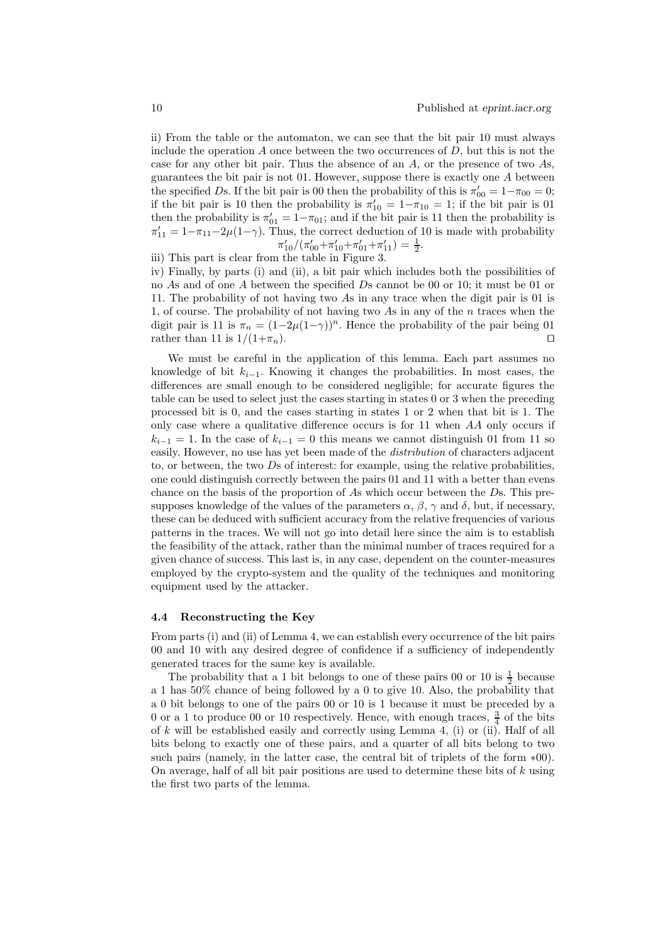ii) From the table or the automaton, we can see that the bit pair 10 must always include the operation A once between the two occurrences of  $D$ , but this is not the case for any other bit pair. Thus the absence of an A, or the presence of two As, guarantees the bit pair is not 01. However, suppose there is exactly one A between the specified Ds. If the bit pair is 00 then the probability of this is  $\pi'_{00} = 1 - \pi_{00} = 0$ ; if the bit pair is 10 then the probability is  $\pi'_{10} = 1 - \pi_{10} = 1$ ; if the bit pair is 01 then the probability is  $\pi'_{01} = 1 - \pi_{01}$ ; and if the bit pair is 11 then the probability is  $\pi'_{11} = 1 - \pi_{11} - 2\mu(1-\gamma)$ . Thus, the correct deduction of 10 is made with probability  $\pi'_{10}/(\pi'_{00}+\pi'_{10}+\pi'_{01}+\pi'_{11}) = \frac{1}{2}.$ 

iii) This part is clear from the table in Figure 3.

iv) Finally, by parts (i) and (ii), a bit pair which includes both the possibilities of no As and of one A between the specified Ds cannot be 00 or 10; it must be 01 or 11. The probability of not having two As in any trace when the digit pair is 01 is 1, of course. The probability of not having two As in any of the n traces when the digit pair is 11 is  $\pi_n = (1-2\mu(1-\gamma))^n$ . Hence the probability of the pair being 01 rather than 11 is  $1/(1+\pi_n)$ . rather than 11 is  $1/(1+\pi_n)$ .

We must be careful in the application of this lemma. Each part assumes no knowledge of bit  $k_{i-1}$ . Knowing it changes the probabilities. In most cases, the differences are small enough to be considered negligible; for accurate figures the table can be used to select just the cases starting in states 0 or 3 when the preceding processed bit is 0, and the cases starting in states 1 or 2 when that bit is 1. The only case where a qualitative difference occurs is for 11 when AA only occurs if  $k_{i-1} = 1$ . In the case of  $k_{i-1} = 0$  this means we cannot distinguish 01 from 11 so easily. However, no use has yet been made of the *distribution* of characters adjacent to, or between, the two  $\overline{D}$ s of interest: for example, using the relative probabilities, one could distinguish correctly between the pairs 01 and 11 with a better than evens chance on the basis of the proportion of As which occur between the Ds. This presupposes knowledge of the values of the parameters  $\alpha$ ,  $\beta$ ,  $\gamma$  and  $\delta$ , but, if necessary, these can be deduced with sufficient accuracy from the relative frequencies of various patterns in the traces. We will not go into detail here since the aim is to establish the feasibility of the attack, rather than the minimal number of traces required for a given chance of success. This last is, in any case, dependent on the counter-measures employed by the crypto-system and the quality of the techniques and monitoring equipment used by the attacker.

#### 4.4 Reconstructing the Key

From parts (i) and (ii) of Lemma 4, we can establish every occurrence of the bit pairs 00 and 10 with any desired degree of confidence if a sufficiency of independently generated traces for the same key is available.

The probability that a 1 bit belongs to one of these pairs 00 or 10 is  $\frac{1}{2}$  because a 1 has 50% chance of being followed by a 0 to give 10. Also, the probability that a 0 bit belongs to one of the pairs 00 or 10 is 1 because it must be preceded by a 0 or a 1 to produce 00 or 10 respectively. Hence, with enough traces,  $\frac{3}{4}$  of the bits of  $k$  will be established easily and correctly using Lemma 4, (i) or (ii). Half of all bits belong to exactly one of these pairs, and a quarter of all bits belong to two such pairs (namely, in the latter case, the central bit of triplets of the form  $*00$ ). On average, half of all bit pair positions are used to determine these bits of  $k$  using the first two parts of the lemma.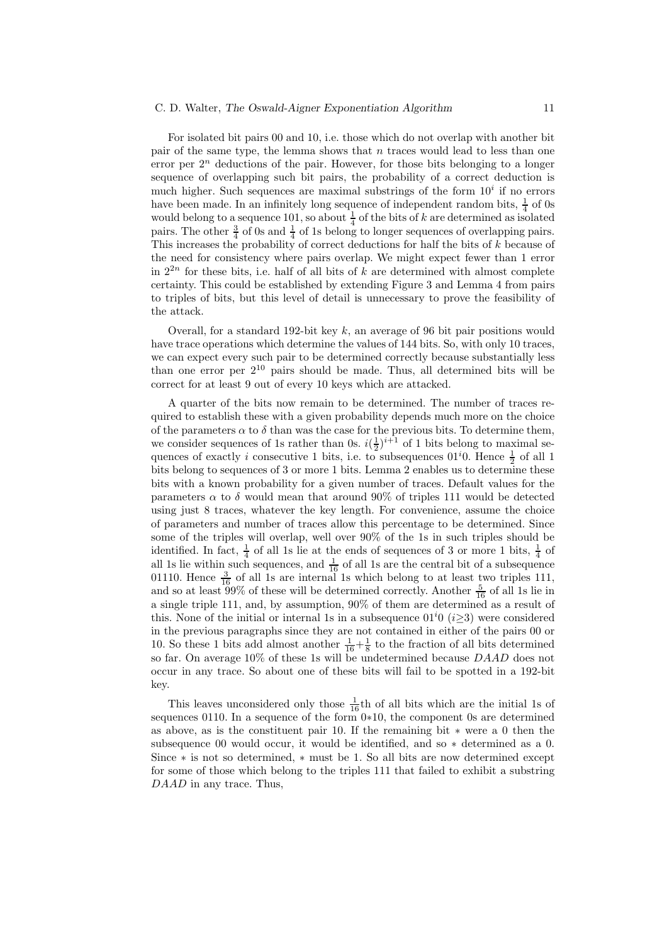#### C. D. Walter, The Oswald-Aigner Exponentiation Algorithm 11

For isolated bit pairs 00 and 10, i.e. those which do not overlap with another bit pair of the same type, the lemma shows that n traces would lead to less than one error per  $2^n$  deductions of the pair. However, for those bits belonging to a longer sequence of overlapping such bit pairs, the probability of a correct deduction is much higher. Such sequences are maximal substrings of the form  $10^i$  if no errors have been made. In an infinitely long sequence of independent random bits,  $\frac{1}{4}$  of 0s would belong to a sequence 101, so about  $\frac{1}{4}$  of the bits of k are determined as isolated pairs. The other  $\frac{3}{4}$  of 0s and  $\frac{1}{4}$  of 1s belong to longer sequences of overlapping pairs. This increases the probability of correct deductions for half the bits of k because of the need for consistency where pairs overlap. We might expect fewer than 1 error in  $2^{2n}$  for these bits, i.e. half of all bits of k are determined with almost complete certainty. This could be established by extending Figure 3 and Lemma 4 from pairs to triples of bits, but this level of detail is unnecessary to prove the feasibility of the attack.

Overall, for a standard 192-bit key  $k$ , an average of 96 bit pair positions would have trace operations which determine the values of 144 bits. So, with only 10 traces, we can expect every such pair to be determined correctly because substantially less than one error per  $2^{10}$  pairs should be made. Thus, all determined bits will be correct for at least 9 out of every 10 keys which are attacked.

A quarter of the bits now remain to be determined. The number of traces required to establish these with a given probability depends much more on the choice of the parameters  $\alpha$  to  $\delta$  than was the case for the previous bits. To determine them, we consider sequences of 1s rather than 0s.  $i(\frac{1}{2})^{i+1}$  of 1 bits belong to maximal sequences of exactly *i* consecutive 1 bits, i.e. to subsequences  $01^i0$ . Hence  $\frac{1}{2}$  of all 1 bits belong to sequences of 3 or more 1 bits. Lemma 2 enables us to determine these bits with a known probability for a given number of traces. Default values for the parameters  $\alpha$  to  $\delta$  would mean that around 90% of triples 111 would be detected using just 8 traces, whatever the key length. For convenience, assume the choice of parameters and number of traces allow this percentage to be determined. Since some of the triples will overlap, well over 90% of the 1s in such triples should be identified. In fact,  $\frac{1}{4}$  of all 1s lie at the ends of sequences of 3 or more 1 bits,  $\frac{1}{4}$  of all 1s lie within such sequences, and  $\frac{1}{16}$  of all 1s are the central bit of a subsequence 01110. Hence  $\frac{3}{16}$  of all 1s are internal 1s which belong to at least two triples 111, and so at least  $99\%$  of these will be determined correctly. Another  $\frac{5}{16}$  of all 1s lie in a single triple 111, and, by assumption, 90% of them are determined as a result of this. None of the initial or internal 1s in a subsequence  $01^i0$  (i $\geq$ 3) were considered in the previous paragraphs since they are not contained in either of the pairs 00 or 10. So these 1 bits add almost another  $\frac{1}{16} + \frac{1}{8}$  to the fraction of all bits determined so far. On average 10% of these 1s will be undetermined because DAAD does not occur in any trace. So about one of these bits will fail to be spotted in a 192-bit key.

This leaves unconsidered only those  $\frac{1}{16}$ th of all bits which are the initial 1s of sequences 0110. In a sequence of the form 0∗10, the component 0s are determined as above, as is the constituent pair 10. If the remaining bit ∗ were a 0 then the subsequence 00 would occur, it would be identified, and so ∗ determined as a 0. Since ∗ is not so determined, ∗ must be 1. So all bits are now determined except for some of those which belong to the triples 111 that failed to exhibit a substring DAAD in any trace. Thus,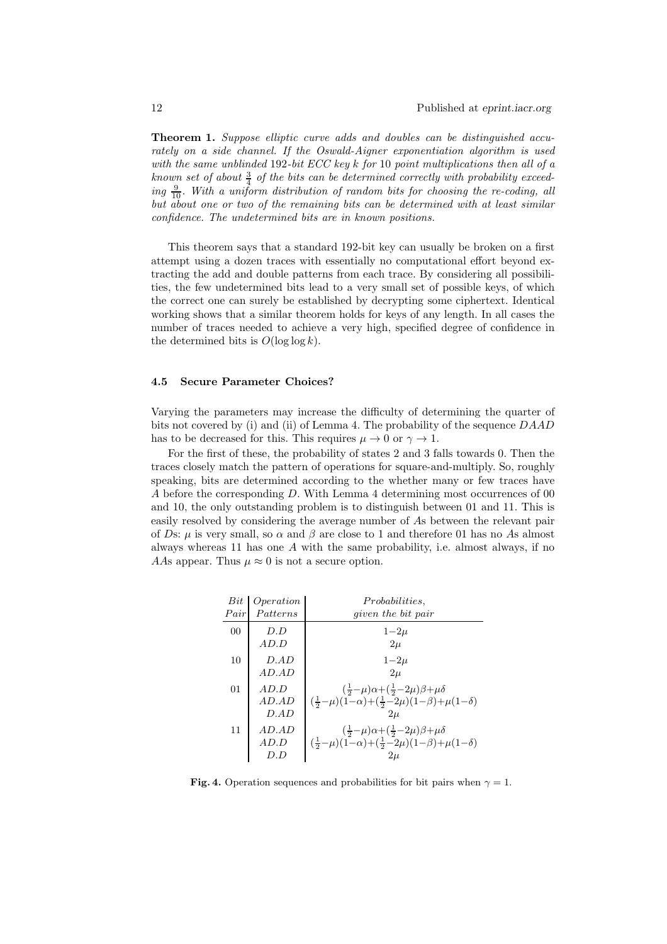**Theorem 1.** Suppose elliptic curve adds and doubles can be distinguished accurately on a side channel. If the Oswald-Aigner exponentiation algorithm is used with the same unblinded 192-bit ECC key k for 10 point multiplications then all of a known set of about  $\frac{3}{4}$  of the bits can be determined correctly with probability exceeding  $\frac{9}{10}$ . With a uniform distribution of random bits for choosing the re-coding, all but about one or two of the remaining bits can be determined with at least similar confidence. The undetermined bits are in known positions.

This theorem says that a standard 192-bit key can usually be broken on a first attempt using a dozen traces with essentially no computational effort beyond extracting the add and double patterns from each trace. By considering all possibilities, the few undetermined bits lead to a very small set of possible keys, of which the correct one can surely be established by decrypting some ciphertext. Identical working shows that a similar theorem holds for keys of any length. In all cases the number of traces needed to achieve a very high, specified degree of confidence in the determined bits is  $O(\log \log k)$ .

#### 4.5 Secure Parameter Choices?

Varying the parameters may increase the difficulty of determining the quarter of bits not covered by (i) and (ii) of Lemma 4. The probability of the sequence DAAD has to be decreased for this. This requires  $\mu \to 0$  or  $\gamma \to 1$ .

For the first of these, the probability of states 2 and 3 falls towards 0. Then the traces closely match the pattern of operations for square-and-multiply. So, roughly speaking, bits are determined according to the whether many or few traces have A before the corresponding D. With Lemma 4 determining most occurrences of 00 and 10, the only outstanding problem is to distinguish between 01 and 11. This is easily resolved by considering the average number of As between the relevant pair of Ds:  $\mu$  is very small, so  $\alpha$  and  $\beta$  are close to 1 and therefore 01 has no As almost always whereas 11 has one  $A$  with the same probability, i.e. almost always, if no AAs appear. Thus  $\mu \approx 0$  is not a secure option.

| Bit<br>Pair | Operation<br>Patterns    | <i>Probabilities.</i><br><i>given the bit pair</i>                                                                                                                                           |
|-------------|--------------------------|----------------------------------------------------------------------------------------------------------------------------------------------------------------------------------------------|
| 00          | D.D<br>AD.D              | $1 - 2\mu$<br>$2\mu$                                                                                                                                                                         |
| 10          | D.AD<br>$AD.$ AD         | $1 - 2\mu$<br>$2\mu$                                                                                                                                                                         |
| 01          | AD.D<br>$AD.$ AD<br>D.AD | $\left(\frac{1}{2}-\mu\right)\alpha+\left(\frac{1}{2}-2\mu\right)\beta+\mu\delta$<br>$\left(\frac{1}{2}-\mu\right)(1-\alpha)+\left(\frac{1}{2}-2\mu\right)(1-\beta)+\mu(1-\delta)$<br>$2\mu$ |
| 11          | $AD.$ AD<br>AD.D<br>D.D  | $\left(\frac{1}{2}-\mu\right)\alpha+\left(\frac{1}{2}-2\mu\right)\beta+\mu\delta$<br>$(\frac{1}{2}-\mu)(1-\alpha)+(\frac{1}{2}-2\mu)(1-\beta)+\mu(1-\delta)$<br>$2\mu$                       |

Fig. 4. Operation sequences and probabilities for bit pairs when  $\gamma = 1$ .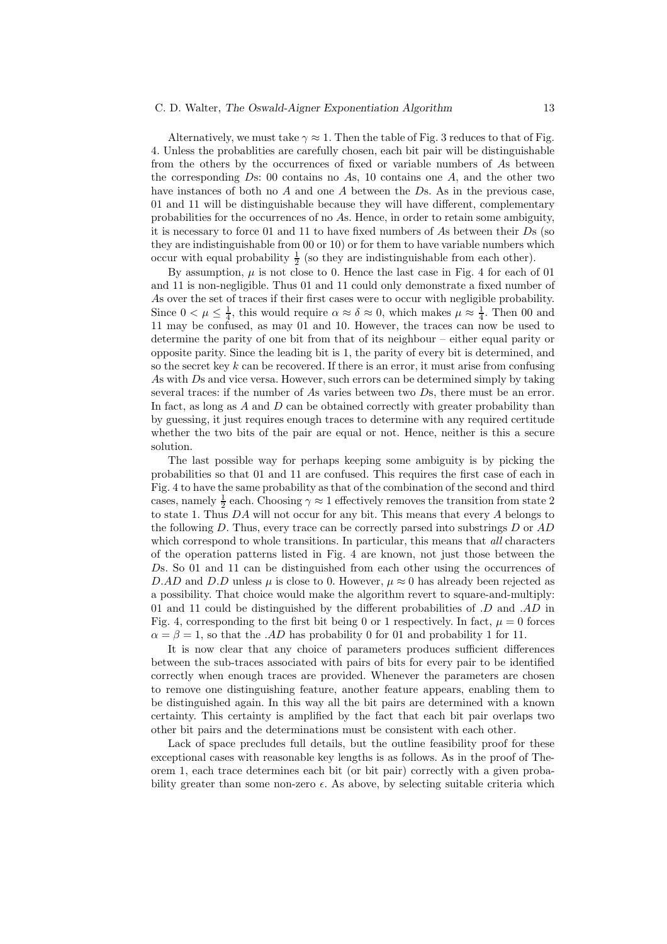#### C. D. Walter, The Oswald-Aigner Exponentiation Algorithm 13

Alternatively, we must take  $\gamma \approx 1$ . Then the table of Fig. 3 reduces to that of Fig. 4. Unless the probablities are carefully chosen, each bit pair will be distinguishable from the others by the occurrences of fixed or variable numbers of As between the corresponding  $Ds: 00$  contains no As, 10 contains one  $A$ , and the other two have instances of both no  $A$  and one  $A$  between the  $D$ s. As in the previous case, 01 and 11 will be distinguishable because they will have different, complementary probabilities for the occurrences of no As. Hence, in order to retain some ambiguity, it is necessary to force 01 and 11 to have fixed numbers of As between their  $D<sub>S</sub>$  (so they are indistinguishable from 00 or 10) or for them to have variable numbers which occur with equal probability  $\frac{1}{2}$  (so they are indistinguishable from each other).

By assumption,  $\mu$  is not close to 0. Hence the last case in Fig. 4 for each of 01 and 11 is non-negligible. Thus 01 and 11 could only demonstrate a fixed number of As over the set of traces if their first cases were to occur with negligible probability. Since  $0 < \mu \leq \frac{1}{4}$ , this would require  $\alpha \approx \delta \approx 0$ , which makes  $\mu \approx \frac{1}{4}$ . Then 00 and 11 may be confused, as may 01 and 10. However, the traces can now be used to determine the parity of one bit from that of its neighbour – either equal parity or opposite parity. Since the leading bit is 1, the parity of every bit is determined, and so the secret key  $k$  can be recovered. If there is an error, it must arise from confusing As with Ds and vice versa. However, such errors can be determined simply by taking several traces: if the number of As varies between two Ds, there must be an error. In fact, as long as A and D can be obtained correctly with greater probability than by guessing, it just requires enough traces to determine with any required certitude whether the two bits of the pair are equal or not. Hence, neither is this a secure solution.

The last possible way for perhaps keeping some ambiguity is by picking the probabilities so that 01 and 11 are confused. This requires the first case of each in Fig. 4 to have the same probability as that of the combination of the second and third cases, namely  $\frac{1}{2}$  each. Choosing  $\gamma \approx 1$  effectively removes the transition from state 2 to state 1. Thus DA will not occur for any bit. This means that every A belongs to the following  $D$ . Thus, every trace can be correctly parsed into substrings  $D$  or  $AD$ which correspond to whole transitions. In particular, this means that *all* characters of the operation patterns listed in Fig. 4 are known, not just those between the Ds. So 01 and 11 can be distinguished from each other using the occurrences of D.AD and D.D unless  $\mu$  is close to 0. However,  $\mu \approx 0$  has already been rejected as a possibility. That choice would make the algorithm revert to square-and-multiply: 01 and 11 could be distinguished by the different probabilities of  $.D$  and  $.AD$  in Fig. 4, corresponding to the first bit being 0 or 1 respectively. In fact,  $\mu = 0$  forces  $\alpha = \beta = 1$ , so that the .AD has probability 0 for 01 and probability 1 for 11.

It is now clear that any choice of parameters produces sufficient differences between the sub-traces associated with pairs of bits for every pair to be identified correctly when enough traces are provided. Whenever the parameters are chosen to remove one distinguishing feature, another feature appears, enabling them to be distinguished again. In this way all the bit pairs are determined with a known certainty. This certainty is amplified by the fact that each bit pair overlaps two other bit pairs and the determinations must be consistent with each other.

Lack of space precludes full details, but the outline feasibility proof for these exceptional cases with reasonable key lengths is as follows. As in the proof of Theorem 1, each trace determines each bit (or bit pair) correctly with a given probability greater than some non-zero  $\epsilon$ . As above, by selecting suitable criteria which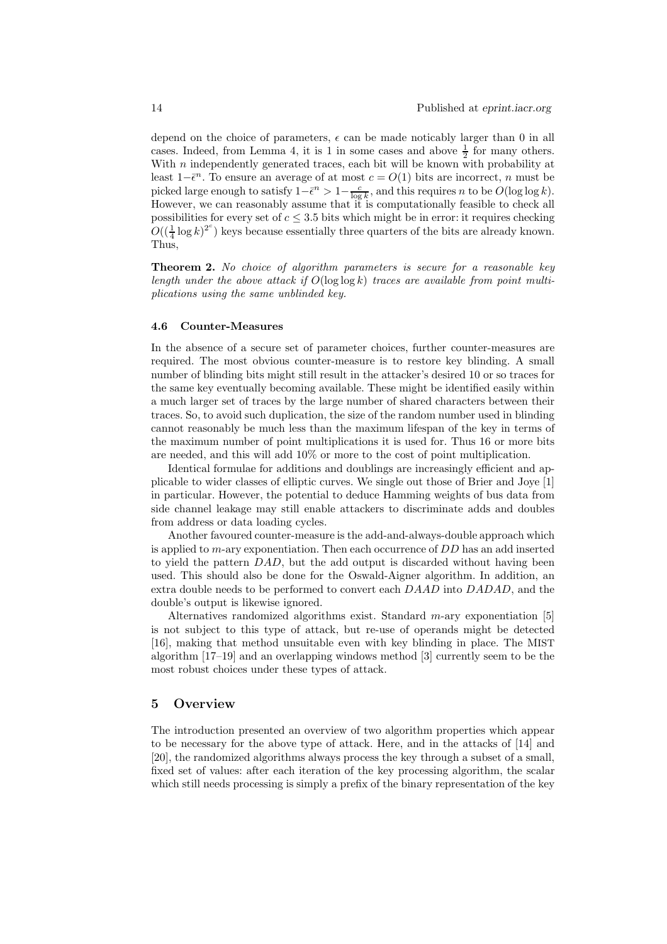depend on the choice of parameters,  $\epsilon$  can be made noticably larger than 0 in all cases. Indeed, from Lemma 4, it is 1 in some cases and above  $\frac{1}{2}$  for many others. With  $n$  independently generated traces, each bit will be known with probability at least  $1-\bar{\epsilon}^n$ . To ensure an average of at most  $c = O(1)$  bits are incorrect, n must be picked large enough to satisfy  $1-\bar{\epsilon}^n > 1-\frac{c}{\log k}$ , and this requires n to be  $O(\log \log k)$ . However, we can reasonably assume that it is computationally feasible to check all possibilities for every set of  $c \leq 3.5$  bits which might be in error: it requires checking  $O((\frac{1}{4} \log k)^{2^c})$  keys because essentially three quarters of the bits are already known. Thus,

**Theorem 2.** No choice of algorithm parameters is secure for a reasonable key length under the above attack if  $O(\log \log k)$  traces are available from point multiplications using the same unblinded key.

#### 4.6 Counter-Measures

In the absence of a secure set of parameter choices, further counter-measures are required. The most obvious counter-measure is to restore key blinding. A small number of blinding bits might still result in the attacker's desired 10 or so traces for the same key eventually becoming available. These might be identified easily within a much larger set of traces by the large number of shared characters between their traces. So, to avoid such duplication, the size of the random number used in blinding cannot reasonably be much less than the maximum lifespan of the key in terms of the maximum number of point multiplications it is used for. Thus 16 or more bits are needed, and this will add 10% or more to the cost of point multiplication.

Identical formulae for additions and doublings are increasingly efficient and applicable to wider classes of elliptic curves. We single out those of Brier and Joye [1] in particular. However, the potential to deduce Hamming weights of bus data from side channel leakage may still enable attackers to discriminate adds and doubles from address or data loading cycles.

Another favoured counter-measure is the add-and-always-double approach which is applied to m-ary exponentiation. Then each occurrence of DD has an add inserted to yield the pattern DAD, but the add output is discarded without having been used. This should also be done for the Oswald-Aigner algorithm. In addition, an extra double needs to be performed to convert each DAAD into DADAD, and the double's output is likewise ignored.

Alternatives randomized algorithms exist. Standard  $m$ -ary exponentiation [5] is not subject to this type of attack, but re-use of operands might be detected [16], making that method unsuitable even with key blinding in place. The MIST algorithm [17–19] and an overlapping windows method [3] currently seem to be the most robust choices under these types of attack.

## 5 Overview

The introduction presented an overview of two algorithm properties which appear to be necessary for the above type of attack. Here, and in the attacks of [14] and [20], the randomized algorithms always process the key through a subset of a small, fixed set of values: after each iteration of the key processing algorithm, the scalar which still needs processing is simply a prefix of the binary representation of the key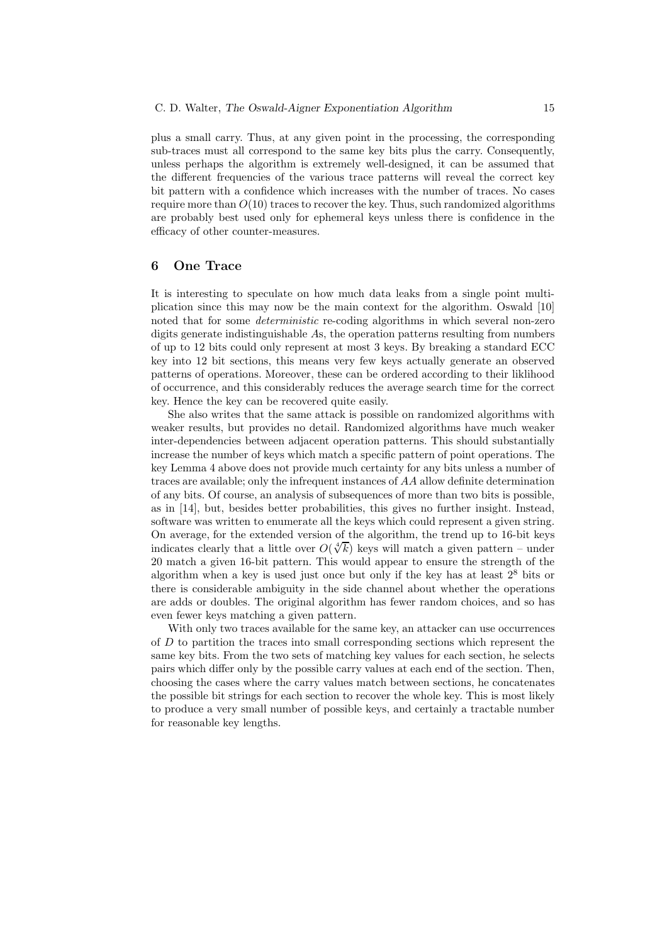plus a small carry. Thus, at any given point in the processing, the corresponding sub-traces must all correspond to the same key bits plus the carry. Consequently, unless perhaps the algorithm is extremely well-designed, it can be assumed that the different frequencies of the various trace patterns will reveal the correct key bit pattern with a confidence which increases with the number of traces. No cases require more than  $O(10)$  traces to recover the key. Thus, such randomized algorithms are probably best used only for ephemeral keys unless there is confidence in the efficacy of other counter-measures.

## 6 One Trace

It is interesting to speculate on how much data leaks from a single point multiplication since this may now be the main context for the algorithm. Oswald [10] noted that for some *deterministic* re-coding algorithms in which several non-zero digits generate indistinguishable As, the operation patterns resulting from numbers of up to 12 bits could only represent at most 3 keys. By breaking a standard ECC key into 12 bit sections, this means very few keys actually generate an observed patterns of operations. Moreover, these can be ordered according to their liklihood of occurrence, and this considerably reduces the average search time for the correct key. Hence the key can be recovered quite easily.

She also writes that the same attack is possible on randomized algorithms with weaker results, but provides no detail. Randomized algorithms have much weaker inter-dependencies between adjacent operation patterns. This should substantially increase the number of keys which match a specific pattern of point operations. The key Lemma 4 above does not provide much certainty for any bits unless a number of traces are available; only the infrequent instances of AA allow definite determination of any bits. Of course, an analysis of subsequences of more than two bits is possible, as in [14], but, besides better probabilities, this gives no further insight. Instead, software was written to enumerate all the keys which could represent a given string. On average, for the extended version of the algorithm, the trend up to 16-bit keys indicates clearly that a little over  $O(\sqrt[k]{k})$  keys will match a given pattern – under 20 match a given 16-bit pattern. This would appear to ensure the strength of the algorithm when a key is used just once but only if the key has at least  $2<sup>8</sup>$  bits or there is considerable ambiguity in the side channel about whether the operations are adds or doubles. The original algorithm has fewer random choices, and so has even fewer keys matching a given pattern.

With only two traces available for the same key, an attacker can use occurrences of  $D$  to partition the traces into small corresponding sections which represent the same key bits. From the two sets of matching key values for each section, he selects pairs which differ only by the possible carry values at each end of the section. Then, choosing the cases where the carry values match between sections, he concatenates the possible bit strings for each section to recover the whole key. This is most likely to produce a very small number of possible keys, and certainly a tractable number for reasonable key lengths.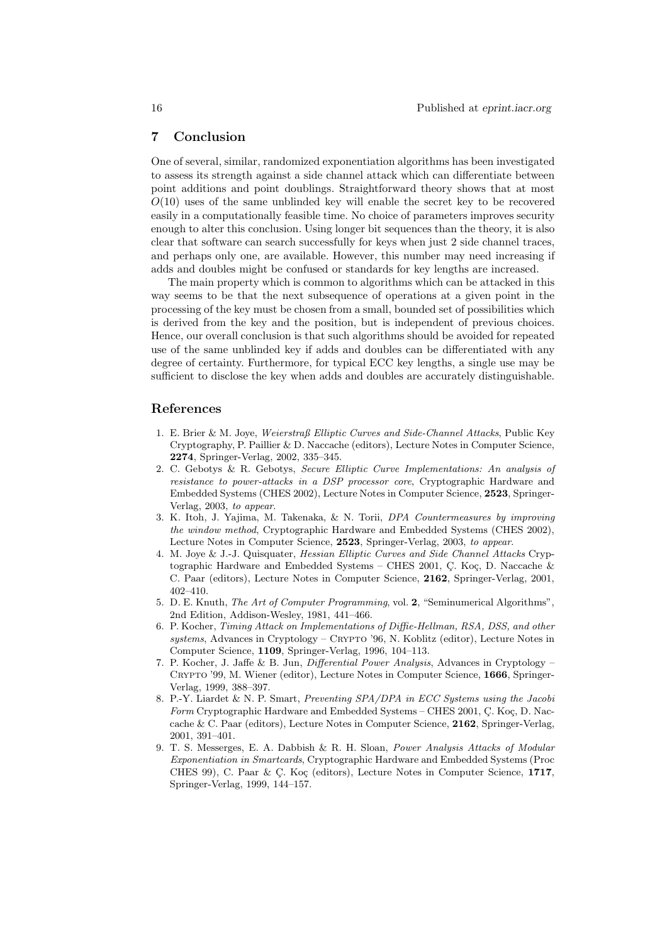## 7 Conclusion

One of several, similar, randomized exponentiation algorithms has been investigated to assess its strength against a side channel attack which can differentiate between point additions and point doublings. Straightforward theory shows that at most  $O(10)$  uses of the same unblinded key will enable the secret key to be recovered easily in a computationally feasible time. No choice of parameters improves security enough to alter this conclusion. Using longer bit sequences than the theory, it is also clear that software can search successfully for keys when just 2 side channel traces, and perhaps only one, are available. However, this number may need increasing if adds and doubles might be confused or standards for key lengths are increased.

The main property which is common to algorithms which can be attacked in this way seems to be that the next subsequence of operations at a given point in the processing of the key must be chosen from a small, bounded set of possibilities which is derived from the key and the position, but is independent of previous choices. Hence, our overall conclusion is that such algorithms should be avoided for repeated use of the same unblinded key if adds and doubles can be differentiated with any degree of certainty. Furthermore, for typical ECC key lengths, a single use may be sufficient to disclose the key when adds and doubles are accurately distinguishable.

## References

- 1. E. Brier & M. Joye, Weierstraß Elliptic Curves and Side-Channel Attacks, Public Key Cryptography, P. Paillier & D. Naccache (editors), Lecture Notes in Computer Science, 2274, Springer-Verlag, 2002, 335–345.
- 2. C. Gebotys & R. Gebotys, Secure Elliptic Curve Implementations: An analysis of resistance to power-attacks in a DSP processor core, Cryptographic Hardware and Embedded Systems (CHES 2002), Lecture Notes in Computer Science, 2523, Springer-Verlag, 2003, to appear.
- 3. K. Itoh, J. Yajima, M. Takenaka, & N. Torii, DPA Countermeasures by improving the window method, Cryptographic Hardware and Embedded Systems (CHES 2002), Lecture Notes in Computer Science, 2523, Springer-Verlag, 2003, to appear.
- 4. M. Joye & J.-J. Quisquater, Hessian Elliptic Curves and Side Channel Attacks Cryptographic Hardware and Embedded Systems – CHES 2001, C. Koç, D. Naccache  $\&$ C. Paar (editors), Lecture Notes in Computer Science, 2162, Springer-Verlag, 2001, 402–410.
- 5. D. E. Knuth, The Art of Computer Programming, vol. 2, "Seminumerical Algorithms", 2nd Edition, Addison-Wesley, 1981, 441–466.
- 6. P. Kocher, Timing Attack on Implementations of Diffie-Hellman, RSA, DSS, and other systems, Advances in Cryptology – CRYPTO '96, N. Koblitz (editor), Lecture Notes in Computer Science, 1109, Springer-Verlag, 1996, 104–113.
- 7. P. Kocher, J. Jaffe & B. Jun, Differential Power Analysis, Advances in Cryptology Crypto '99, M. Wiener (editor), Lecture Notes in Computer Science, 1666, Springer-Verlag, 1999, 388–397.
- 8. P.-Y. Liardet & N. P. Smart, Preventing SPA/DPA in ECC Systems using the Jacobi Form Cryptographic Hardware and Embedded Systems – CHES 2001, C. Koç, D. Naccache & C. Paar (editors), Lecture Notes in Computer Science, 2162, Springer-Verlag, 2001, 391–401.
- 9. T. S. Messerges, E. A. Dabbish & R. H. Sloan, Power Analysis Attacks of Modular Exponentiation in Smartcards, Cryptographic Hardware and Embedded Systems (Proc CHES 99), C. Paar & Ç. Koç (editors), Lecture Notes in Computer Science,  $1717$ , Springer-Verlag, 1999, 144–157.